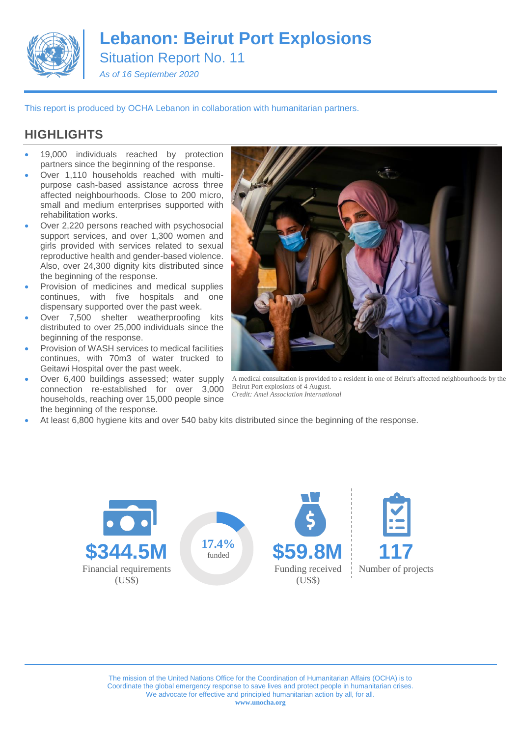

# **Lebanon: Beirut Port Explosions**

Situation Report No. 11

*As of 16 September 2020*

This report is produced by OCHA Lebanon in collaboration with humanitarian partners.

## **HIGHLIGHTS**

- 19,000 individuals reached by protection partners since the beginning of the response.
- Over 1,110 households reached with multipurpose cash-based assistance across three affected neighbourhoods. Close to 200 micro, small and medium enterprises supported with rehabilitation works.
- Over 2,220 persons reached with psychosocial support services, and over 1,300 women and girls provided with services related to sexual reproductive health and gender-based violence. Also, over 24,300 dignity kits distributed since the beginning of the response.
- Provision of medicines and medical supplies continues, with five hospitals and one dispensary supported over the past week.
- Over 7,500 shelter weatherproofing kits distributed to over 25,000 individuals since the beginning of the response.
- Provision of WASH services to medical facilities continues, with 70m3 of water trucked to Geitawi Hospital over the past week.
- Over 6,400 buildings assessed; water supply connection re-established for over 3,000 households, reaching over 15,000 people since the beginning of the response.



A medical consultation is provided to a resident in one of Beirut's affected neighbourhoods by the Beirut Port explosions of 4 August. *Credit: Amel Association International*

At least 6,800 hygiene kits and over 540 baby kits distributed since the beginning of the response.

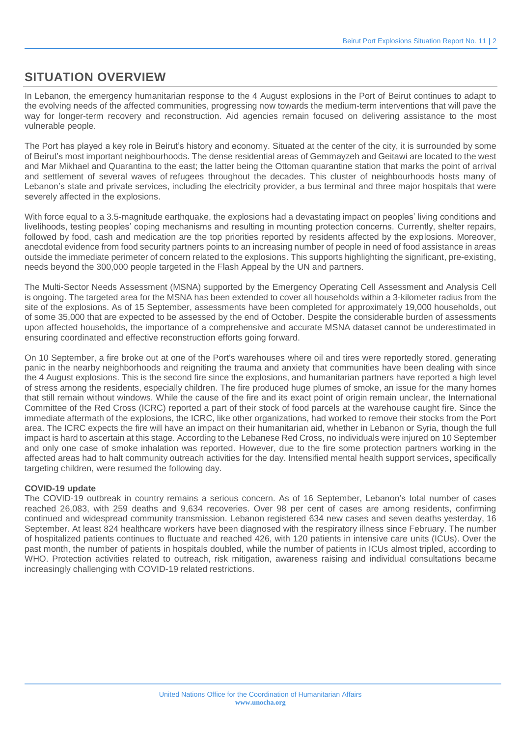## **SITUATION OVERVIEW**

In Lebanon, the emergency humanitarian response to the 4 August explosions in the Port of Beirut continues to adapt to the evolving needs of the affected communities, progressing now towards the medium-term interventions that will pave the way for longer-term recovery and reconstruction. Aid agencies remain focused on delivering assistance to the most vulnerable people.

The Port has played a key role in Beirut's history and economy. Situated at the center of the city, it is surrounded by some of Beirut's most important neighbourhoods. The dense residential areas of Gemmayzeh and Geitawi are located to the west and Mar Mikhael and Quarantina to the east; the latter being the Ottoman quarantine station that marks the point of arrival and settlement of several waves of [refugees](https://raseef22.com/article/1070677-karantina-city-outsiders) throughout the decades. This cluster of neighbourhoods hosts many of Lebanon's state and private services, including the electricity provider, a bus terminal and three major hospitals that were severely affected in the explosions.

With force equal to a 3.5-magnitude earthquake, the explosions had a devastating impact on peoples' living conditions and livelihoods, testing peoples' coping mechanisms and resulting in mounting protection concerns. Currently, shelter repairs, followed by food, cash and medication are the top priorities reported by residents affected by the explosions. Moreover, anecdotal evidence from food security partners points to an increasing number of people in need of food assistance in areas outside the immediate perimeter of concern related to the explosions. This supports highlighting the significant, pre-existing, needs beyond the 300,000 people targeted in the Flash Appeal by the UN and partners.

The Multi-Sector Needs Assessment (MSNA) supported by the Emergency Operating Cell Assessment and Analysis Cell is ongoing. The targeted area for the MSNA has been extended to cover all households within a 3-kilometer radius from the site of the explosions. As of 15 September, assessments have been completed for approximately 19,000 households, out of some 35,000 that are expected to be assessed by the end of October. Despite the considerable burden of assessments upon affected households, the importance of a comprehensive and accurate MSNA dataset cannot be underestimated in ensuring coordinated and effective reconstruction efforts going forward.

On 10 September, a fire broke out at one of the Port's warehouses where oil and tires were reportedly stored, generating panic in the nearby neighborhoods and reigniting the trauma and anxiety that communities have been dealing with since the 4 August explosions. This is the second fire since the explosions, and humanitarian partners have reported a high level of stress among the residents, especially children. The fire produced huge plumes of smoke, an issue for the many homes that still remain without windows. While the cause of the fire and its exact point of origin remain unclear, the International Committee of the Red Cross (ICRC) reported a part of their stock of food parcels at the warehouse caught fire. Since the immediate aftermath of the explosions, the ICRC, like other organizations, had worked to remove their stocks from the Port area. The ICRC expects the fire will have an impact on their humanitarian aid, whether in Lebanon or Syria, though the full impact is hard to ascertain at this stage. According to the Lebanese Red Cross, no individuals were injured on 10 September and only one case of smoke inhalation was reported. However, due to the fire some protection partners working in the affected areas had to halt community outreach activities for the day. Intensified mental health support services, specifically targeting children, were resumed the following day.

### **COVID-19 update**

The COVID-19 outbreak in country remains a serious concern. As of 16 September, Lebanon's total number of cases reached 26,083, with 259 deaths and 9,634 recoveries. Over 98 per cent of cases are among residents, confirming continued and widespread community transmission. Lebanon registered 634 new cases and seven deaths yesterday, 16 September. At least 824 healthcare workers have been diagnosed with the respiratory illness since February. The number of hospitalized patients continues to fluctuate and reached 426, with 120 patients in intensive care units (ICUs). Over the past month, the number of patients in hospitals doubled, while the number of patients in ICUs almost tripled, according to WHO. Protection activities related to outreach, risk mitigation, awareness raising and individual consultations became increasingly challenging with COVID-19 related restrictions.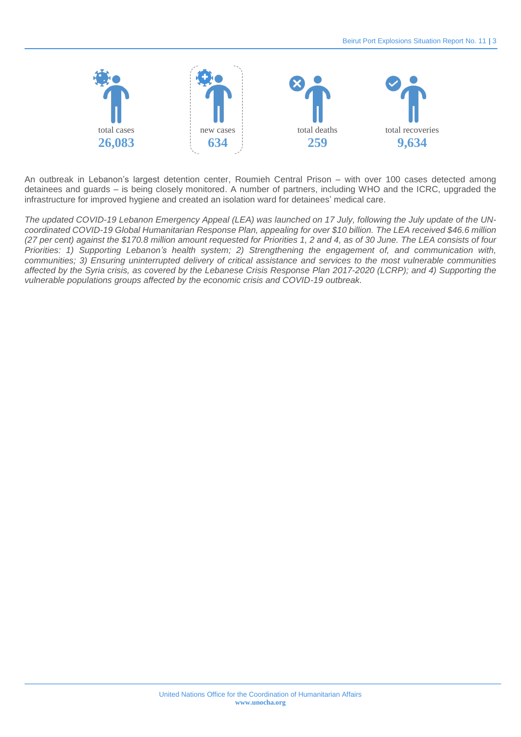

An outbreak in Lebanon's largest detention center, Roumieh Central Prison – with over 100 cases detected among detainees and guards – is being closely monitored. A number of partners, including WHO and the ICRC, upgraded the infrastructure for improved hygiene and created an isolation ward for detainees' medical care.

*The updated COVID-19 Lebanon Emergency Appeal (LEA) was launched on 17 July, following the July update of the UNcoordinated COVID-19 Global Humanitarian Response Plan, appealing for over \$10 billion. The LEA received \$46.6 million (27 per cent) against the \$170.8 million amount requested for Priorities 1, 2 and 4, as of 30 June. The LEA consists of four Priorities: 1) Supporting Lebanon's health system; 2) Strengthening the engagement of, and communication with, communities; 3) Ensuring uninterrupted delivery of critical assistance and services to the most vulnerable communities affected by the Syria crisis, as covered by the Lebanese Crisis Response Plan 2017-2020 (LCRP); and 4) Supporting the vulnerable populations groups affected by the economic crisis and COVID-19 outbreak.*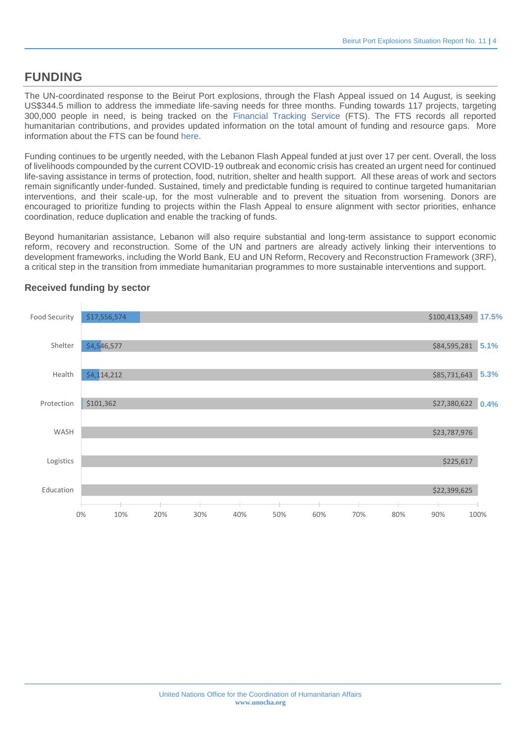## **FUNDING**

The UN-coordinated response to the Beirut Port explosions, through the Flash Appeal issued on 14 August, is seeking US\$344.5 million to address the immediate life-saving needs for three months. Funding towards 117 projects, targeting 300,000 people in need, is being tracked on the [Financial Tracking Service](https://fts.unocha.org/appeals/1009/summary) (FTS). The FTS records all reported humanitarian contributions, and provides updated information on the total amount of funding and resource gaps. More information about the FTS can be found [here.](https://fts.unocha.org/content/faqs-all-funding)

Funding continues to be urgently needed, with the Lebanon Flash Appeal funded at just over 17 per cent. Overall, the loss of livelihoods compounded by the current COVID-19 outbreak and economic crisis has created an urgent need for continued life-saving assistance in terms of protection, food, nutrition, shelter and health support. All these areas of work and sectors remain significantly under-funded. Sustained, timely and predictable funding is required to continue targeted humanitarian interventions, and their scale-up, for the most vulnerable and to prevent the situation from worsening. Donors are encouraged to prioritize funding to projects within the Flash Appeal to ensure alignment with sector priorities, enhance coordination, reduce duplication and enable the tracking of funds.

Beyond humanitarian assistance, Lebanon will also require substantial and long-term assistance to support economic reform, recovery and reconstruction. Some of the UN and partners are already actively linking their interventions to development frameworks, including the World Bank, EU and UN Reform, Recovery and Reconstruction Framework (3RF), a critical step in the transition from immediate humanitarian programmes to more sustainable interventions and support.



### **Received funding by sector**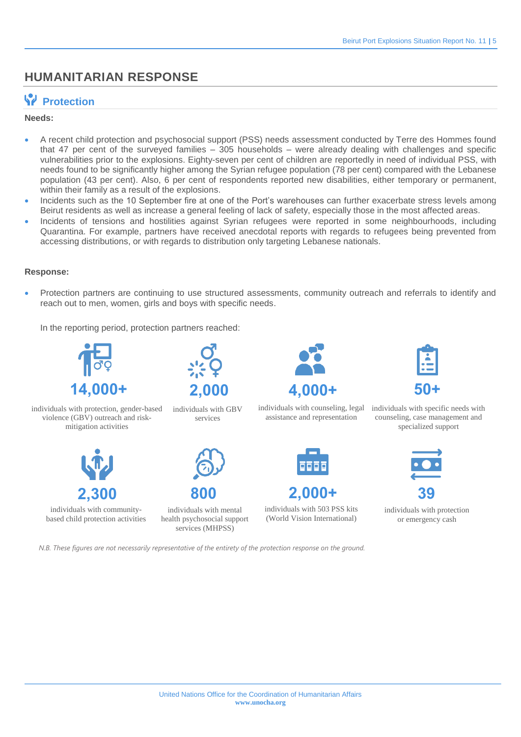## **HUMANITARIAN RESPONSE**

## **Protection**

### **Needs:**

- A recent child protection and psychosocial support (PSS) needs assessment conducted by Terre des Hommes found that 47 per cent of the surveyed families – 305 households – were already dealing with challenges and specific vulnerabilities prior to the explosions. Eighty-seven per cent of children are reportedly in need of individual PSS, with needs found to be significantly higher among the Syrian refugee population (78 per cent) compared with the Lebanese population (43 per cent). Also, 6 per cent of respondents reported new disabilities, either temporary or permanent, within their family as a result of the explosions.
- Incidents such as the 10 September fire at one of the Port's warehouses can further exacerbate stress levels among Beirut residents as well as increase a general feeling of lack of safety, especially those in the most affected areas.
- Incidents of tensions and hostilities against Syrian refugees were reported in some neighbourhoods, including Quarantina. For example, partners have received anecdotal reports with regards to refugees being prevented from accessing distributions, or with regards to distribution only targeting Lebanese nationals.

### **Response:**

 Protection partners are continuing to use structured assessments, community outreach and referrals to identify and reach out to men, women, girls and boys with specific needs.

In the reporting period, protection partners reached:



individuals with protection, gender-based violence (GBV) outreach and riskmitigation activities



individuals with communitybased child protection activities



individuals with GBV services



**800**  individuals with mental health psychosocial support

services (MHPSS)



assistance and representation





individuals with 503 PSS kits (World Vision International)



individuals with counseling, legal individuals with specific needs with counseling, case management and specialized support



individuals with protection or emergency cash

*N.B. These figures are not necessarily representative of the entirety of the protection response on the ground.*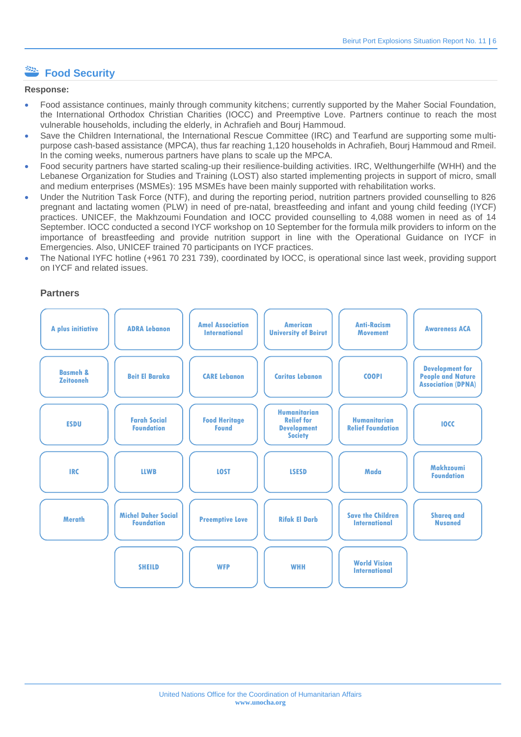## **Example 2** Food Security

#### **Response:**

- Food assistance continues, mainly through community kitchens; currently supported by the Maher Social Foundation, the International Orthodox Christian Charities (IOCC) and Preemptive Love. Partners continue to reach the most vulnerable households, including the elderly, in Achrafieh and Bourj Hammoud.
- Save the Children International, the International Rescue Committee (IRC) and Tearfund are supporting some multipurpose cash-based assistance (MPCA), thus far reaching 1,120 households in Achrafieh, Bourj Hammoud and Rmeil. In the coming weeks, numerous partners have plans to scale up the MPCA.
- Food security partners have started scaling-up their resilience-building activities. IRC, Welthungerhilfe (WHH) and the Lebanese Organization for Studies and Training (LOST) also started implementing projects in support of micro, small and medium enterprises (MSMEs): 195 MSMEs have been mainly supported with rehabilitation works.
- Under the Nutrition Task Force (NTF), and during the reporting period, nutrition partners provided counselling to 826 pregnant and lactating women (PLW) in need of pre-natal, breastfeeding and infant and young child feeding (IYCF) practices. UNICEF, the Makhzoumi Foundation and IOCC provided counselling to 4,088 women in need as of 14 September. IOCC conducted a second IYCF workshop on 10 September for the formula milk providers to inform on the importance of breastfeeding and provide nutrition support in line with the Operational Guidance on IYCF in Emergencies. Also, UNICEF trained 70 participants on IYCF practices.
- The National IYFC hotline (+961 70 231 739), coordinated by IOCC, is operational since last week, providing support on IYCF and related issues.

### **Partners**

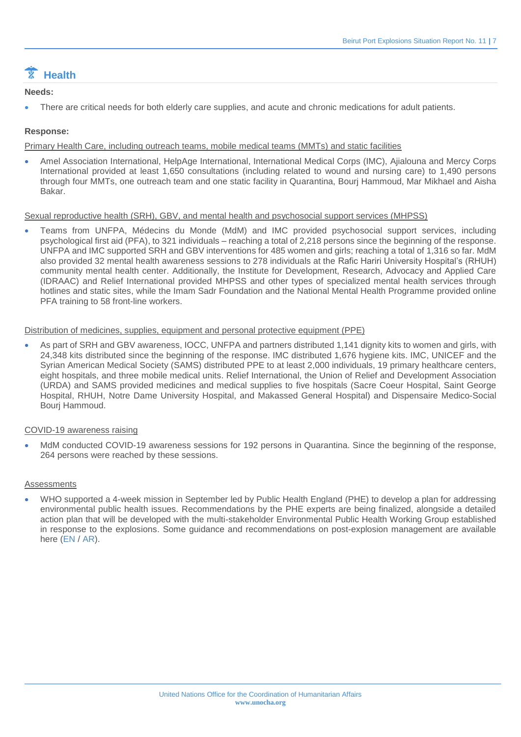## **Health**

### **Needs:**

There are critical needs for both elderly care supplies, and acute and chronic medications for adult patients.

### **Response:**

Primary Health Care, including outreach teams, mobile medical teams (MMTs) and static facilities

 Amel Association International, HelpAge International, International Medical Corps (IMC), Ajialouna and Mercy Corps International provided at least 1,650 consultations (including related to wound and nursing care) to 1,490 persons through four MMTs, one outreach team and one static facility in Quarantina, Bourj Hammoud, Mar Mikhael and Aisha Bakar.

### Sexual reproductive health (SRH), GBV, and mental health and psychosocial support services (MHPSS)

 Teams from UNFPA, Médecins du Monde (MdM) and IMC provided psychosocial support services, including psychological first aid (PFA), to 321 individuals – reaching a total of 2,218 persons since the beginning of the response. UNFPA and IMC supported SRH and GBV interventions for 485 women and girls; reaching a total of 1,316 so far. MdM also provided 32 mental health awareness sessions to 278 individuals at the Rafic Hariri University Hospital's (RHUH) community mental health center. Additionally, the Institute for Development, Research, Advocacy and Applied Care (IDRAAC) and Relief International provided MHPSS and other types of specialized mental health services through hotlines and static sites, while the Imam Sadr Foundation and the National Mental Health Programme provided online PFA training to 58 front-line workers.

### Distribution of medicines, supplies, equipment and personal protective equipment (PPE)

 As part of SRH and GBV awareness, IOCC, UNFPA and partners distributed 1,141 dignity kits to women and girls, with 24,348 kits distributed since the beginning of the response. IMC distributed 1,676 hygiene kits. IMC, UNICEF and the Syrian American Medical Society (SAMS) distributed PPE to at least 2,000 individuals, 19 primary healthcare centers, eight hospitals, and three mobile medical units. Relief International, the Union of Relief and Development Association (URDA) and SAMS provided medicines and medical supplies to five hospitals (Sacre Coeur Hospital, Saint George Hospital, RHUH, Notre Dame University Hospital, and Makassed General Hospital) and Dispensaire Medico-Social Bourj Hammoud.

### COVID-19 awareness raising

 MdM conducted COVID-19 awareness sessions for 192 persons in Quarantina. Since the beginning of the response, 264 persons were reached by these sessions.

### **Assessments**

WHO supported a 4-week mission in September led by Public Health England (PHE) to develop a plan for addressing environmental public health issues. Recommendations by the PHE experts are being finalized, alongside a detailed action plan that will be developed with the multi-stakeholder Environmental Public Health Working Group established in response to the explosions. Some guidance and recommendations on post-explosion management are available here [\(EN](http://www.emro.who.int/images/stories/lebanon/post-explosion-management.pdf?ua=1) / [AR\)](http://www.emro.who.int/images/stories/lebanon/post-explosion-management-ar.pdf?ua=1).